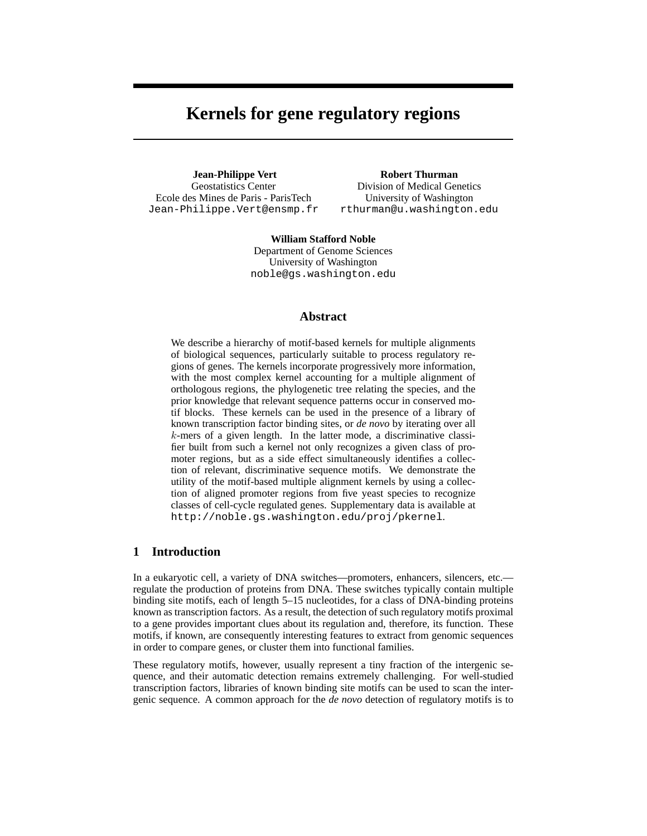# **Kernels for gene regulatory regions**

**Jean-Philippe Vert** Geostatistics Center Ecole des Mines de Paris - ParisTech Jean-Philippe.Vert@ensmp.fr

**Robert Thurman** Division of Medical Genetics University of Washington rthurman@u.washington.edu

**William Stafford Noble** Department of Genome Sciences University of Washington noble@gs.washington.edu

#### **Abstract**

We describe a hierarchy of motif-based kernels for multiple alignments of biological sequences, particularly suitable to process regulatory regions of genes. The kernels incorporate progressively more information, with the most complex kernel accounting for a multiple alignment of orthologous regions, the phylogenetic tree relating the species, and the prior knowledge that relevant sequence patterns occur in conserved motif blocks. These kernels can be used in the presence of a library of known transcription factor binding sites, or *de novo* by iterating over all k-mers of a given length. In the latter mode, a discriminative classifier built from such a kernel not only recognizes a given class of promoter regions, but as a side effect simultaneously identifies a collection of relevant, discriminative sequence motifs. We demonstrate the utility of the motif-based multiple alignment kernels by using a collection of aligned promoter regions from five yeast species to recognize classes of cell-cycle regulated genes. Supplementary data is available at http://noble.gs.washington.edu/proj/pkernel.

## **1 Introduction**

In a eukaryotic cell, a variety of DNA switches—promoters, enhancers, silencers, etc. regulate the production of proteins from DNA. These switches typically contain multiple binding site motifs, each of length 5–15 nucleotides, for a class of DNA-binding proteins known as transcription factors. As a result, the detection of such regulatory motifs proximal to a gene provides important clues about its regulation and, therefore, its function. These motifs, if known, are consequently interesting features to extract from genomic sequences in order to compare genes, or cluster them into functional families.

These regulatory motifs, however, usually represent a tiny fraction of the intergenic sequence, and their automatic detection remains extremely challenging. For well-studied transcription factors, libraries of known binding site motifs can be used to scan the intergenic sequence. A common approach for the *de novo* detection of regulatory motifs is to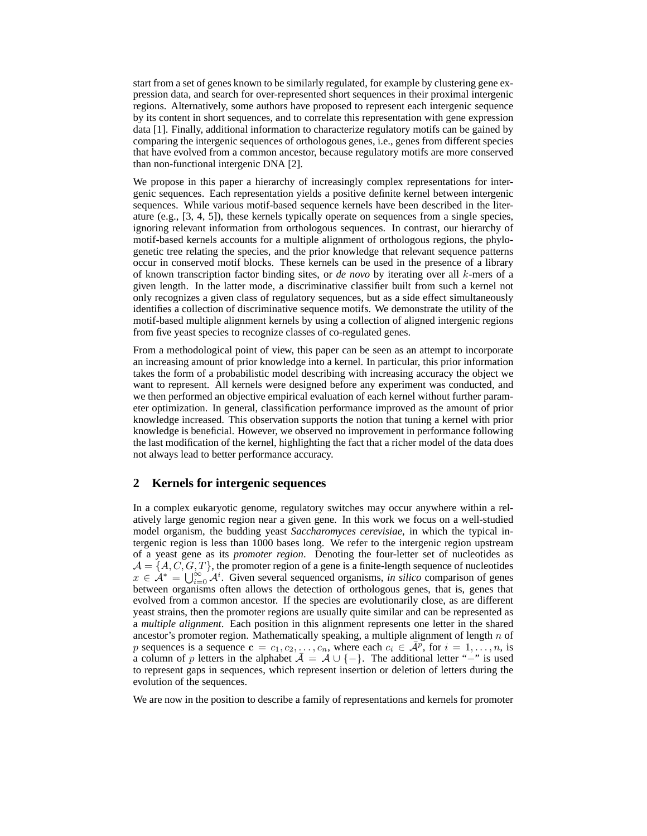start from a set of genes known to be similarly regulated, for example by clustering gene expression data, and search for over-represented short sequences in their proximal intergenic regions. Alternatively, some authors have proposed to represent each intergenic sequence by its content in short sequences, and to correlate this representation with gene expression data [1]. Finally, additional information to characterize regulatory motifs can be gained by comparing the intergenic sequences of orthologous genes, i.e., genes from different species that have evolved from a common ancestor, because regulatory motifs are more conserved than non-functional intergenic DNA [2].

We propose in this paper a hierarchy of increasingly complex representations for intergenic sequences. Each representation yields a positive definite kernel between intergenic sequences. While various motif-based sequence kernels have been described in the literature (e.g., [3, 4, 5]), these kernels typically operate on sequences from a single species, ignoring relevant information from orthologous sequences. In contrast, our hierarchy of motif-based kernels accounts for a multiple alignment of orthologous regions, the phylogenetic tree relating the species, and the prior knowledge that relevant sequence patterns occur in conserved motif blocks. These kernels can be used in the presence of a library of known transcription factor binding sites, or *de novo* by iterating over all k-mers of a given length. In the latter mode, a discriminative classifier built from such a kernel not only recognizes a given class of regulatory sequences, but as a side effect simultaneously identifies a collection of discriminative sequence motifs. We demonstrate the utility of the motif-based multiple alignment kernels by using a collection of aligned intergenic regions from five yeast species to recognize classes of co-regulated genes.

From a methodological point of view, this paper can be seen as an attempt to incorporate an increasing amount of prior knowledge into a kernel. In particular, this prior information takes the form of a probabilistic model describing with increasing accuracy the object we want to represent. All kernels were designed before any experiment was conducted, and we then performed an objective empirical evaluation of each kernel without further parameter optimization. In general, classification performance improved as the amount of prior knowledge increased. This observation supports the notion that tuning a kernel with prior knowledge is beneficial. However, we observed no improvement in performance following the last modification of the kernel, highlighting the fact that a richer model of the data does not always lead to better performance accuracy.

### **2 Kernels for intergenic sequences**

In a complex eukaryotic genome, regulatory switches may occur anywhere within a relatively large genomic region near a given gene. In this work we focus on a well-studied model organism, the budding yeast *Saccharomyces cerevisiae*, in which the typical intergenic region is less than 1000 bases long. We refer to the intergenic region upstream of a yeast gene as its *promoter region*. Denoting the four-letter set of nucleotides as  $\mathcal{A} = \{A, C, G, T\}$ , the promoter region of a gene is a finite-length sequence of nucleotides  $x \in \mathcal{A}^* = \bigcup_{i=0}^{\infty} \mathcal{A}^i$ . Given several sequenced organisms, *in silico* comparison of genes between organisms often allows the detection of orthologous genes, that is, genes that evolved from a common ancestor. If the species are evolutionarily close, as are different yeast strains, then the promoter regions are usually quite similar and can be represented as a *multiple alignment*. Each position in this alignment represents one letter in the shared ancestor's promoter region. Mathematically speaking, a multiple alignment of length  $n$  of p sequences is a sequence  $\mathbf{c} = c_1, c_2, \ldots, c_n$ , where each  $c_i \in \bar{\mathcal{A}}^p$ , for  $i = 1, \ldots, n$ , is a column of p letters in the alphabet  $\overline{A} = A \cup \{-\}$ . The additional letter "−" is used to represent gaps in sequences, which represent insertion or deletion of letters during the evolution of the sequences.

We are now in the position to describe a family of representations and kernels for promoter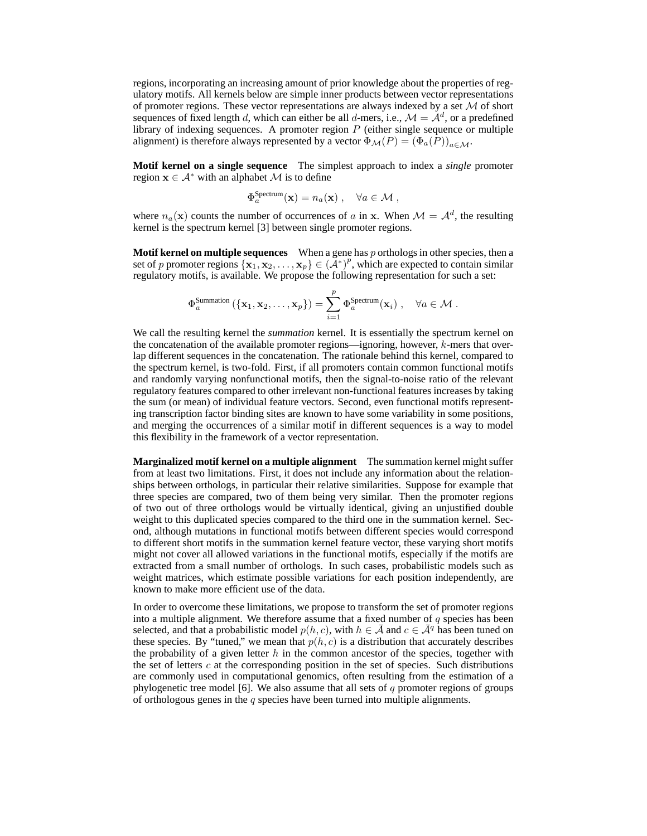regions, incorporating an increasing amount of prior knowledge about the properties of regulatory motifs. All kernels below are simple inner products between vector representations of promoter regions. These vector representations are always indexed by a set  $M$  of short sequences of fixed length d, which can either be all d-mers, i.e.,  $\mathcal{M} = \mathcal{A}^d$ , or a predefined library of indexing sequences. A promoter region  $P$  (either single sequence or multiple alignment) is therefore always represented by a vector  $\Phi_{\mathcal{M}}(P) = (\Phi_a(P))_{a \in \mathcal{M}}$ .

**Motif kernel on a single sequence** The simplest approach to index a *single* promoter region  $x \in A^*$  with an alphabet M is to define

$$
\Phi_a^{\text{Spectrum}}(\mathbf{x}) = n_a(\mathbf{x}), \quad \forall a \in \mathcal{M},
$$

where  $n_a(\mathbf{x})$  counts the number of occurrences of a in x. When  $\mathcal{M} = \mathcal{A}^d$ , the resulting kernel is the spectrum kernel [3] between single promoter regions.

**Motif kernel on multiple sequences** When a gene has p orthologs in other species, then a set of p promoter regions  $\{x_1, x_2, ..., x_p\} \in (\mathcal{A}^*)^p$ , which are expected to contain similar regulatory motifs, is available. We propose the following representation for such a set:

$$
\Phi_a^{\text{Summation}}(\{\mathbf{x}_1,\mathbf{x}_2,\ldots,\mathbf{x}_p\})=\sum_{i=1}^p \Phi_a^{\text{Spectrum}}(\mathbf{x}_i), \quad \forall a \in \mathcal{M}.
$$

We call the resulting kernel the *summation* kernel. It is essentially the spectrum kernel on the concatenation of the available promoter regions—ignoring, however,  $k$ -mers that overlap different sequences in the concatenation. The rationale behind this kernel, compared to the spectrum kernel, is two-fold. First, if all promoters contain common functional motifs and randomly varying nonfunctional motifs, then the signal-to-noise ratio of the relevant regulatory features compared to other irrelevant non-functional features increases by taking the sum (or mean) of individual feature vectors. Second, even functional motifs representing transcription factor binding sites are known to have some variability in some positions, and merging the occurrences of a similar motif in different sequences is a way to model this flexibility in the framework of a vector representation.

**Marginalized motif kernel on a multiple alignment** The summation kernel might suffer from at least two limitations. First, it does not include any information about the relationships between orthologs, in particular their relative similarities. Suppose for example that three species are compared, two of them being very similar. Then the promoter regions of two out of three orthologs would be virtually identical, giving an unjustified double weight to this duplicated species compared to the third one in the summation kernel. Second, although mutations in functional motifs between different species would correspond to different short motifs in the summation kernel feature vector, these varying short motifs might not cover all allowed variations in the functional motifs, especially if the motifs are extracted from a small number of orthologs. In such cases, probabilistic models such as weight matrices, which estimate possible variations for each position independently, are known to make more efficient use of the data.

In order to overcome these limitations, we propose to transform the set of promoter regions into a multiple alignment. We therefore assume that a fixed number of  $q$  species has been selected, and that a probabilistic model  $p(h, c)$ , with  $h \in \overline{A}$  and  $c \in \overline{A}^q$  has been tuned on these species. By "tuned," we mean that  $p(h, c)$  is a distribution that accurately describes the probability of a given letter  $h$  in the common ancestor of the species, together with the set of letters  $c$  at the corresponding position in the set of species. Such distributions are commonly used in computational genomics, often resulting from the estimation of a phylogenetic tree model [6]. We also assume that all sets of  $q$  promoter regions of groups of orthologous genes in the  $q$  species have been turned into multiple alignments.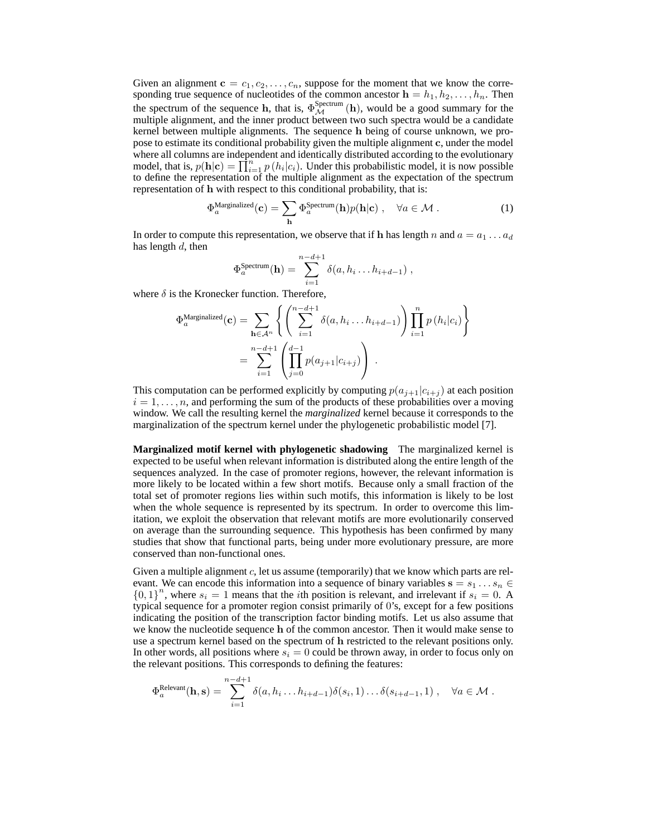Given an alignment  $\mathbf{c} = c_1, c_2, \dots, c_n$ , suppose for the moment that we know the corresponding true sequence of nucleotides of the common ancestor  $h = h_1, h_2, \ldots, h_n$ . Then the spectrum of the sequence h, that is,  $\Phi_{\mathcal{M}}^{\text{Spectrum}}(\mathbf{h})$ , would be a good summary for the multiple alignment, and the inner product between two such spectra would be a candidate kernel between multiple alignments. The sequence h being of course unknown, we propose to estimate its conditional probability given the multiple alignment c, under the model where all columns are independent and identically distributed according to the evolutionary model, that is,  $p(\mathbf{h}|\mathbf{c}) = \prod_{i=1}^{n} p(h_i|c_i)$ . Under this probabilistic model, it is now possible to define the representation of the multiple alignment as the expectation of the spectrum representation of h with respect to this conditional probability, that is:

$$
\Phi_a^{\text{Marginalized}}(\mathbf{c}) = \sum_{\mathbf{h}} \Phi_a^{\text{Spectrum}}(\mathbf{h}) p(\mathbf{h}|\mathbf{c}) \ , \quad \forall a \in \mathcal{M} \ . \tag{1}
$$

In order to compute this representation, we observe that if h has length n and  $a = a_1 \dots a_d$ has length  $d$ , then

$$
\Phi_a^{\text{Spectrum}}(\mathbf{h}) = \sum_{i=1}^{n-d+1} \delta(a, h_i \dots h_{i+d-1}),
$$

where  $\delta$  is the Kronecker function. Therefore,

$$
\Phi_a^{\text{Marginalized}}(\mathbf{c}) = \sum_{\mathbf{h} \in \mathcal{A}^n} \left\{ \left( \sum_{i=1}^{n-d+1} \delta(a, h_i \dots h_{i+d-1}) \right) \prod_{i=1}^n p(h_i|c_i) \right\}
$$

$$
= \sum_{i=1}^{n-d+1} \left( \prod_{j=0}^{d-1} p(a_{j+1}|c_{i+j}) \right).
$$

This computation can be performed explicitly by computing  $p(a_{i+1}|c_{i+1})$  at each position  $i = 1, \ldots, n$ , and performing the sum of the products of these probabilities over a moving window. We call the resulting kernel the *marginalized* kernel because it corresponds to the marginalization of the spectrum kernel under the phylogenetic probabilistic model [7].

**Marginalized motif kernel with phylogenetic shadowing** The marginalized kernel is expected to be useful when relevant information is distributed along the entire length of the sequences analyzed. In the case of promoter regions, however, the relevant information is more likely to be located within a few short motifs. Because only a small fraction of the total set of promoter regions lies within such motifs, this information is likely to be lost when the whole sequence is represented by its spectrum. In order to overcome this limitation, we exploit the observation that relevant motifs are more evolutionarily conserved on average than the surrounding sequence. This hypothesis has been confirmed by many studies that show that functional parts, being under more evolutionary pressure, are more conserved than non-functional ones.

Given a multiple alignment  $c$ , let us assume (temporarily) that we know which parts are relevant. We can encode this information into a sequence of binary variables  $s = s_1 \dots s_n \in$  ${0, 1}^n$ , where  $s_i = 1$  means that the *i*th position is relevant, and irrelevant if  $s_i = 0$ . A typical sequence for a promoter region consist primarily of 0's, except for a few positions indicating the position of the transcription factor binding motifs. Let us also assume that we know the nucleotide sequence h of the common ancestor. Then it would make sense to use a spectrum kernel based on the spectrum of h restricted to the relevant positions only. In other words, all positions where  $s_i = 0$  could be thrown away, in order to focus only on the relevant positions. This corresponds to defining the features:

$$
\Phi_a^{\text{Relevant}}(\mathbf{h}, \mathbf{s}) = \sum_{i=1}^{n-d+1} \delta(a, h_i \dots h_{i+d-1}) \delta(s_i, 1) \dots \delta(s_{i+d-1}, 1) , \quad \forall a \in \mathcal{M} .
$$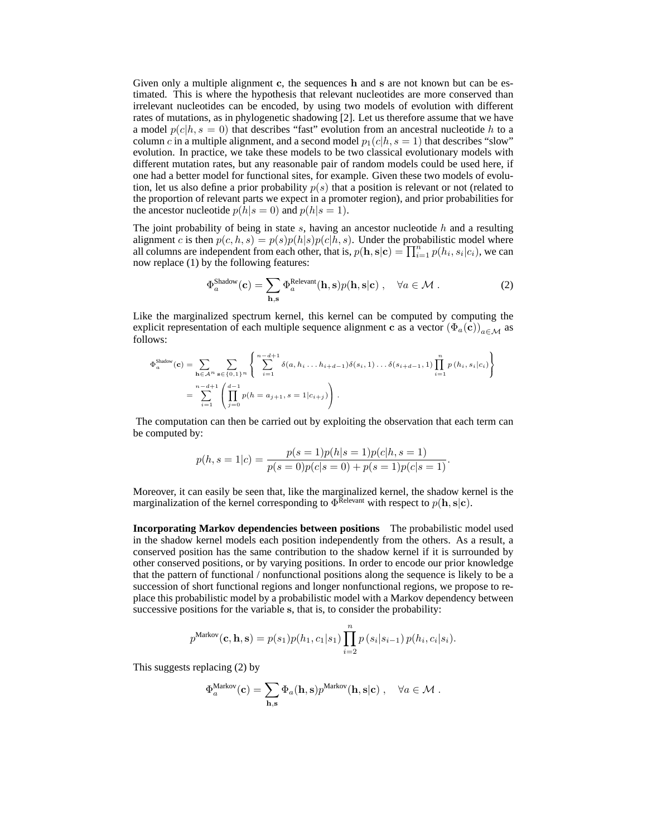Given only a multiple alignment c, the sequences h and s are not known but can be estimated. This is where the hypothesis that relevant nucleotides are more conserved than irrelevant nucleotides can be encoded, by using two models of evolution with different rates of mutations, as in phylogenetic shadowing [2]. Let us therefore assume that we have a model  $p(c|h, s = 0)$  that describes "fast" evolution from an ancestral nucleotide h to a column c in a multiple alignment, and a second model  $p_1(c|h, s = 1)$  that describes "slow" evolution. In practice, we take these models to be two classical evolutionary models with different mutation rates, but any reasonable pair of random models could be used here, if one had a better model for functional sites, for example. Given these two models of evolution, let us also define a prior probability  $p(s)$  that a position is relevant or not (related to the proportion of relevant parts we expect in a promoter region), and prior probabilities for the ancestor nucleotide  $p(h|s = 0)$  and  $p(h|s = 1)$ .

The joint probability of being in state  $s$ , having an ancestor nucleotide  $h$  and a resulting alignment c is then  $p(c, h, s) = p(s)p(h|s)p(c|h, s)$ . Under the probabilistic model where all columns are independent from each other, that is,  $p(\mathbf{h}, \mathbf{s}|\mathbf{c}) = \prod_{i=1}^{n} p(h_i, s_i|c_i)$ , we can now replace (1) by the following features:

$$
\Phi_a^{\text{Shadow}}(\mathbf{c}) = \sum_{\mathbf{h}, \mathbf{s}} \Phi_a^{\text{Relevant}}(\mathbf{h}, \mathbf{s}) p(\mathbf{h}, \mathbf{s} | \mathbf{c}) , \quad \forall a \in \mathcal{M} . \tag{2}
$$

Like the marginalized spectrum kernel, this kernel can be computed by computing the explicit representation of each multiple sequence alignment c as a vector  $(\Phi_a(c))_{a \in \mathcal{M}}$  as follows:

$$
\Phi_a^{\text{Shadow}}(\mathbf{c}) = \sum_{\mathbf{h} \in \mathcal{A}^n} \sum_{\mathbf{s} \in \{0,1\}^n} \left\{ \sum_{i=1}^{n-d+1} \delta(a, h_i \dots h_{i+d-1}) \delta(s_i, 1) \dots \delta(s_{i+d-1}, 1) \prod_{i=1}^n p(h_i, s_i | c_i) \right\}
$$
  
= 
$$
\sum_{i=1}^{n-d+1} \left( \prod_{j=0}^{d-1} p(h = a_{j+1}, s = 1 | c_{i+j}) \right).
$$

The computation can then be carried out by exploiting the observation that each term can be computed by:

$$
p(h, s = 1|c) = \frac{p(s = 1)p(h|s = 1)p(c|h, s = 1)}{p(s = 0)p(c|s = 0) + p(s = 1)p(c|s = 1)}.
$$

Moreover, it can easily be seen that, like the marginalized kernel, the shadow kernel is the marginalization of the kernel corresponding to  $\Phi^{\text{Relevant}}$  with respect to  $p(\mathbf{h}, \mathbf{s}|\mathbf{c})$ .

**Incorporating Markov dependencies between positions** The probabilistic model used in the shadow kernel models each position independently from the others. As a result, a conserved position has the same contribution to the shadow kernel if it is surrounded by other conserved positions, or by varying positions. In order to encode our prior knowledge that the pattern of functional / nonfunctional positions along the sequence is likely to be a succession of short functional regions and longer nonfunctional regions, we propose to replace this probabilistic model by a probabilistic model with a Markov dependency between successive positions for the variable s, that is, to consider the probability:

$$
p^{\text{Markov}}(\mathbf{c}, \mathbf{h}, \mathbf{s}) = p(s_1)p(h_1, c_1|s_1) \prod_{i=2}^{n} p(s_i|s_{i-1}) p(h_i, c_i|s_i).
$$

This suggests replacing (2) by

$$
\Phi_a^{\text{Markov}}(\mathbf{c}) = \sum_{\mathbf{h}, \mathbf{s}} \Phi_a(\mathbf{h}, \mathbf{s}) p^{\text{Markov}}(\mathbf{h}, \mathbf{s} | \mathbf{c}) \;, \quad \forall a \in \mathcal{M} \; .
$$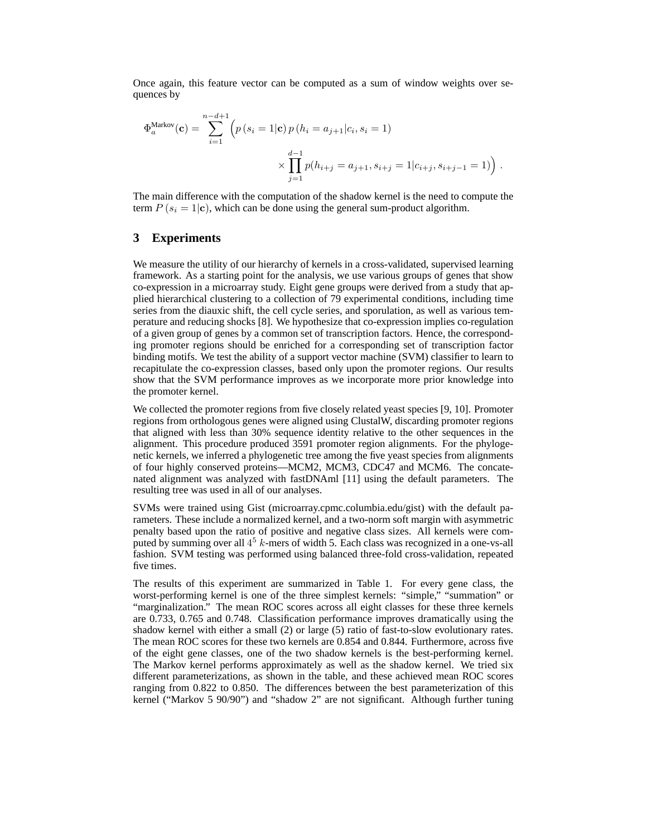Once again, this feature vector can be computed as a sum of window weights over sequences by

$$
\Phi_a^{\text{Markov}}(\mathbf{c}) = \sum_{i=1}^{n-d+1} \left( p(s_i = 1 | \mathbf{c}) p(h_i = a_{j+1} | c_i, s_i = 1) \times \prod_{j=1}^{d-1} p(h_{i+j} = a_{j+1}, s_{i+j} = 1 | c_{i+j}, s_{i+j-1} = 1) \right).
$$

The main difference with the computation of the shadow kernel is the need to compute the term  $P(s_i = 1|\mathbf{c})$ , which can be done using the general sum-product algorithm.

# **3 Experiments**

We measure the utility of our hierarchy of kernels in a cross-validated, supervised learning framework. As a starting point for the analysis, we use various groups of genes that show co-expression in a microarray study. Eight gene groups were derived from a study that applied hierarchical clustering to a collection of 79 experimental conditions, including time series from the diauxic shift, the cell cycle series, and sporulation, as well as various temperature and reducing shocks [8]. We hypothesize that co-expression implies co-regulation of a given group of genes by a common set of transcription factors. Hence, the corresponding promoter regions should be enriched for a corresponding set of transcription factor binding motifs. We test the ability of a support vector machine (SVM) classifier to learn to recapitulate the co-expression classes, based only upon the promoter regions. Our results show that the SVM performance improves as we incorporate more prior knowledge into the promoter kernel.

We collected the promoter regions from five closely related yeast species [9, 10]. Promoter regions from orthologous genes were aligned using ClustalW, discarding promoter regions that aligned with less than 30% sequence identity relative to the other sequences in the alignment. This procedure produced 3591 promoter region alignments. For the phylogenetic kernels, we inferred a phylogenetic tree among the five yeast species from alignments of four highly conserved proteins—MCM2, MCM3, CDC47 and MCM6. The concatenated alignment was analyzed with fastDNAml [11] using the default parameters. The resulting tree was used in all of our analyses.

SVMs were trained using Gist (microarray.cpmc.columbia.edu/gist) with the default parameters. These include a normalized kernel, and a two-norm soft margin with asymmetric penalty based upon the ratio of positive and negative class sizes. All kernels were computed by summing over all  $4^5$  k-mers of width 5. Each class was recognized in a one-vs-all fashion. SVM testing was performed using balanced three-fold cross-validation, repeated five times.

The results of this experiment are summarized in Table 1. For every gene class, the worst-performing kernel is one of the three simplest kernels: "simple," "summation" or "marginalization." The mean ROC scores across all eight classes for these three kernels are 0.733, 0.765 and 0.748. Classification performance improves dramatically using the shadow kernel with either a small (2) or large (5) ratio of fast-to-slow evolutionary rates. The mean ROC scores for these two kernels are 0.854 and 0.844. Furthermore, across five of the eight gene classes, one of the two shadow kernels is the best-performing kernel. The Markov kernel performs approximately as well as the shadow kernel. We tried six different parameterizations, as shown in the table, and these achieved mean ROC scores ranging from 0.822 to 0.850. The differences between the best parameterization of this kernel ("Markov 5 90/90") and "shadow 2" are not significant. Although further tuning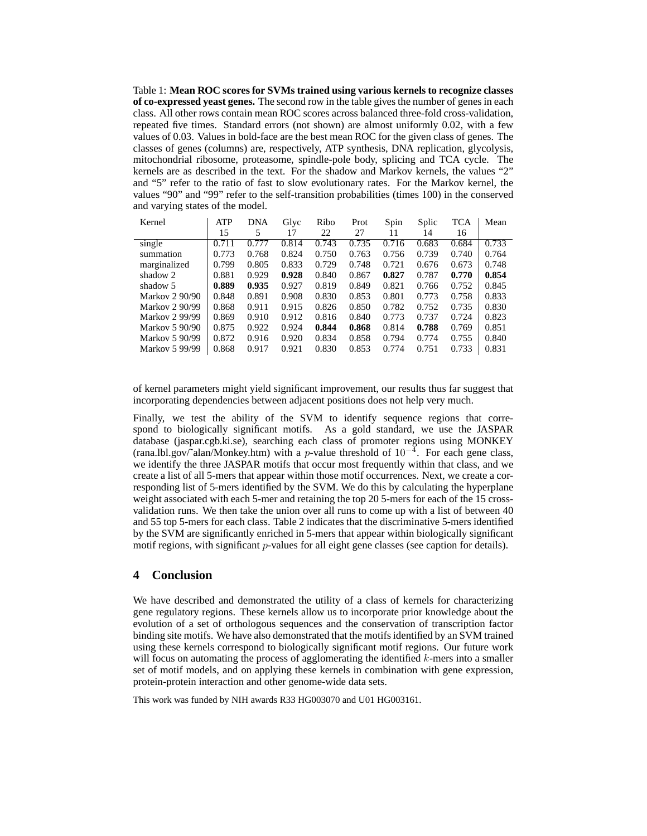Table 1: **Mean ROC scores for SVMs trained using various kernels to recognize classes of co-expressed yeast genes.** The second row in the table gives the number of genes in each class. All other rows contain mean ROC scores across balanced three-fold cross-validation, repeated five times. Standard errors (not shown) are almost uniformly 0.02, with a few values of 0.03. Values in bold-face are the best mean ROC for the given class of genes. The classes of genes (columns) are, respectively, ATP synthesis, DNA replication, glycolysis, mitochondrial ribosome, proteasome, spindle-pole body, splicing and TCA cycle. The kernels are as described in the text. For the shadow and Markov kernels, the values "2" and "5" refer to the ratio of fast to slow evolutionary rates. For the Markov kernel, the values "90" and "99" refer to the self-transition probabilities (times 100) in the conserved and varying states of the model.

| Kernel                | <b>ATP</b> | DNA   | Glyc  | Ribo  | Prot  | Spin  | Splic | <b>TCA</b> | Mean  |
|-----------------------|------------|-------|-------|-------|-------|-------|-------|------------|-------|
|                       | 15         | 5     | 17    | 22    | 27    | 11    | 14    | 16         |       |
| single                | 0.711      | 0.777 | 0.814 | 0.743 | 0.735 | 0.716 | 0.683 | 0.684      | 0.733 |
| summation             | 0.773      | 0.768 | 0.824 | 0.750 | 0.763 | 0.756 | 0.739 | 0.740      | 0.764 |
| marginalized          | 0.799      | 0.805 | 0.833 | 0.729 | 0.748 | 0.721 | 0.676 | 0.673      | 0.748 |
| shadow 2              | 0.881      | 0.929 | 0.928 | 0.840 | 0.867 | 0.827 | 0.787 | 0.770      | 0.854 |
| shadow 5              | 0.889      | 0.935 | 0.927 | 0.819 | 0.849 | 0.821 | 0.766 | 0.752      | 0.845 |
| Markov 2 90/90        | 0.848      | 0.891 | 0.908 | 0.830 | 0.853 | 0.801 | 0.773 | 0.758      | 0.833 |
| Markov 2 90/99        | 0.868      | 0.911 | 0.915 | 0.826 | 0.850 | 0.782 | 0.752 | 0.735      | 0.830 |
| <b>Markov 2 99/99</b> | 0.869      | 0.910 | 0.912 | 0.816 | 0.840 | 0.773 | 0.737 | 0.724      | 0.823 |
| Markov 5 90/90        | 0.875      | 0.922 | 0.924 | 0.844 | 0.868 | 0.814 | 0.788 | 0.769      | 0.851 |
| Markov 5 90/99        | 0.872      | 0.916 | 0.920 | 0.834 | 0.858 | 0.794 | 0.774 | 0.755      | 0.840 |
| Markov 5 99/99        | 0.868      | 0.917 | 0.921 | 0.830 | 0.853 | 0.774 | 0.751 | 0.733      | 0.831 |

of kernel parameters might yield significant improvement, our results thus far suggest that incorporating dependencies between adjacent positions does not help very much.

Finally, we test the ability of the SVM to identify sequence regions that correspond to biologically significant motifs. As a gold standard, we use the JASPAR database (jaspar.cgb.ki.se), searching each class of promoter regions using MONKEY (rana.lbl.gov/ $\tilde{a}$ lan/Monkey.htm) with a p-value threshold of  $10^{-4}$ . For each gene class, we identify the three JASPAR motifs that occur most frequently within that class, and we create a list of all 5-mers that appear within those motif occurrences. Next, we create a corresponding list of 5-mers identified by the SVM. We do this by calculating the hyperplane weight associated with each 5-mer and retaining the top 20 5-mers for each of the 15 crossvalidation runs. We then take the union over all runs to come up with a list of between 40 and 55 top 5-mers for each class. Table 2 indicates that the discriminative 5-mers identified by the SVM are significantly enriched in 5-mers that appear within biologically significant motif regions, with significant *p*-values for all eight gene classes (see caption for details).

# **4 Conclusion**

We have described and demonstrated the utility of a class of kernels for characterizing gene regulatory regions. These kernels allow us to incorporate prior knowledge about the evolution of a set of orthologous sequences and the conservation of transcription factor binding site motifs. We have also demonstrated that the motifs identified by an SVM trained using these kernels correspond to biologically significant motif regions. Our future work will focus on automating the process of agglomerating the identified  $k$ -mers into a smaller set of motif models, and on applying these kernels in combination with gene expression, protein-protein interaction and other genome-wide data sets.

This work was funded by NIH awards R33 HG003070 and U01 HG003161.